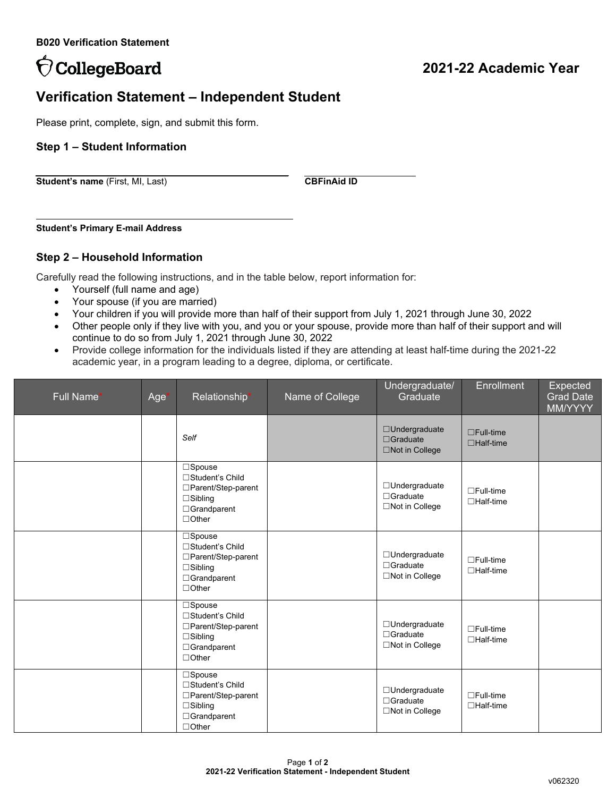# OcollegeBoard

## **2021-22 Academic Year**

### **Verification Statement – Independent Student**

Please print, complete, sign, and submit this form.

#### **Step 1 – Student Information**

**Student's name** (First, MI, Last) **CBFinAid ID** 

**Student's Primary E-mail Address**

#### **Step 2 – Household Information**

Carefully read the following instructions, and in the table below, report information for:

- Yourself (full name and age)
- Your spouse (if you are married)
- Your children if you will provide more than half of their support from July 1, 2021 through June 30, 2022
- Other people only if they live with you, and you or your spouse, provide more than half of their support and will continue to do so from July 1, 2021 through June 30, 2022
- Provide college information for the individuals listed if they are attending at least half-time during the 2021-22 academic year, in a program leading to a degree, diploma, or certificate.

| Full Name* | Age <sup>*</sup> | Relationship*                                                                                              | Name of College | Undergraduate/<br>Graduate                                 | <b>Enrollment</b>                    | Expected<br><b>Grad Date</b><br>MM/YYYY |
|------------|------------------|------------------------------------------------------------------------------------------------------------|-----------------|------------------------------------------------------------|--------------------------------------|-----------------------------------------|
|            |                  | Self                                                                                                       |                 | □Undergraduate<br>$\Box$ Graduate<br>□Not in College       | $\Box$ Full-time<br>$\Box$ Half-time |                                         |
|            |                  | □Spouse<br>□Student's Child<br>□Parent/Step-parent<br>$\Box$ Sibling<br>□Grandparent<br>$\Box$ Other       |                 | □Undergraduate<br>$\Box$ Graduate<br>□Not in College       | $\Box$ Full-time<br>$\Box$ Half-time |                                         |
|            |                  | □Spouse<br>□Student's Child<br>□Parent/Step-parent<br>$\Box$ Sibling<br>□Grandparent<br>$\Box$ Other       |                 | □Undergraduate<br>$\Box$ Graduate<br>□Not in College       | $\Box$ Full-time<br>$\Box$ Half-time |                                         |
|            |                  | □Spouse<br>□Student's Child<br>□Parent/Step-parent<br>$\Box$ Sibling<br>□Grandparent<br>$\Box$ Other       |                 | □Undergraduate<br>$\Box$ Graduate<br>□Not in College       | $\Box$ Full-time<br>$\Box$ Half-time |                                         |
|            |                  | $\Box$ Spouse<br>□Student's Child<br>□Parent/Step-parent<br>$\Box$ Sibling<br>□Grandparent<br>$\Box$ Other |                 | □Undergraduate<br>$\Box$ Graduate<br>$\Box$ Not in College | $\Box$ Full-time<br>$\Box$ Half-time |                                         |